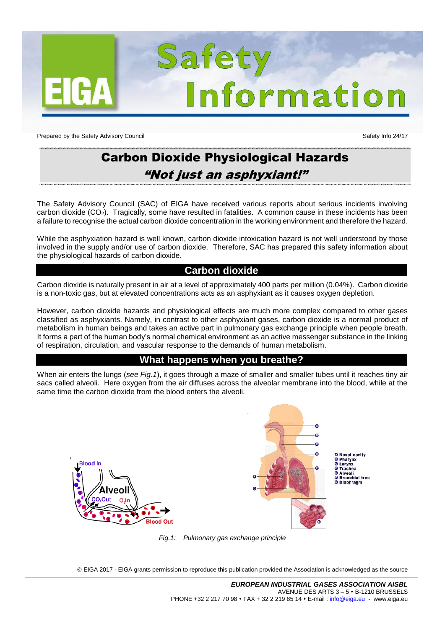

Prepared by the Safety Advisory Council Safety Info 24/17

# Carbon Dioxide Physiological Hazards "Not just an asphyxiant!"

The Safety Advisory Council (SAC) of EIGA have received various reports about serious incidents involving carbon dioxide (CO2). Tragically, some have resulted in fatalities. A common cause in these incidents has been a failure to recognise the actual carbon dioxide concentration in the working environment and therefore the hazard.

While the asphyxiation hazard is well known, carbon dioxide intoxication hazard is not well understood by those involved in the supply and/or use of carbon dioxide. Therefore, SAC has prepared this safety information about the physiological hazards of carbon dioxide.

## **Carbon dioxide**

Carbon dioxide is naturally present in air at a level of approximately 400 parts per million (0.04%). Carbon dioxide is a non-toxic gas, but at elevated concentrations acts as an asphyxiant as it causes oxygen depletion.

However, carbon dioxide hazards and physiological effects are much more complex compared to other gases classified as asphyxiants. Namely, in contrast to other asphyxiant gases, carbon dioxide is a normal product of metabolism in human beings and takes an active part in pulmonary gas exchange principle when people breath. It forms a part of the human body's normal chemical environment as an active messenger substance in the linking of respiration, circulation, and vascular response to the demands of human metabolism.

## **What happens when you breathe?**

When air enters the lungs (*see Fig.1*), it goes through a maze of smaller and smaller tubes until it reaches tiny air sacs called alveoli. Here oxygen from the air diffuses across the alveolar membrane into the blood, while at the same time the carbon dioxide from the blood enters the alveoli.



*Fig.1: Pulmonary gas exchange principle*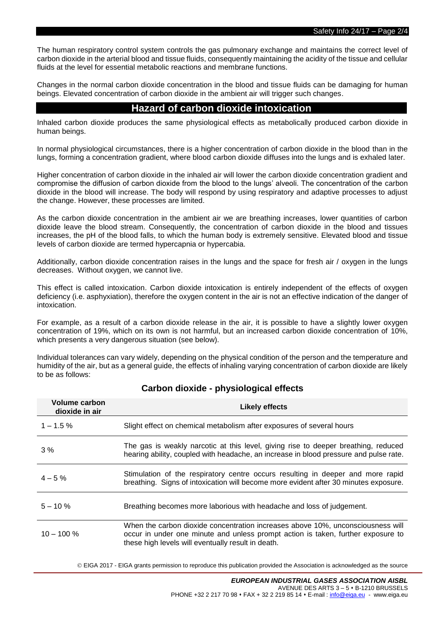The human respiratory control system controls the gas pulmonary exchange and maintains the correct level of carbon dioxide in the arterial blood and tissue fluids, consequently maintaining the acidity of the tissue and cellular fluids at the level for essential metabolic reactions and membrane functions.

Changes in the normal carbon dioxide concentration in the blood and tissue fluids can be damaging for human beings. Elevated concentration of carbon dioxide in the ambient air will trigger such changes.

# **Hazard of carbon dioxide intoxication**

Inhaled carbon dioxide produces the same physiological effects as metabolically produced carbon dioxide in human beings.

In normal physiological circumstances, there is a higher concentration of carbon dioxide in the blood than in the lungs, forming a concentration gradient, where blood carbon dioxide diffuses into the lungs and is exhaled later.

Higher concentration of carbon dioxide in the inhaled air will lower the carbon dioxide concentration gradient and compromise the diffusion of carbon dioxide from the blood to the lungs' alveoli. The concentration of the carbon dioxide in the blood will increase. The body will respond by using respiratory and adaptive processes to adjust the change. However, these processes are limited.

As the carbon dioxide concentration in the ambient air we are breathing increases, lower quantities of carbon dioxide leave the blood stream. Consequently, the concentration of carbon dioxide in the blood and tissues increases, the pH of the blood falls, to which the human body is extremely sensitive. Elevated blood and tissue levels of carbon dioxide are termed hypercapnia or hypercabia.

Additionally, carbon dioxide concentration raises in the lungs and the space for fresh air / oxygen in the lungs decreases. Without oxygen, we cannot live.

This effect is called intoxication. Carbon dioxide intoxication is entirely independent of the effects of oxygen deficiency (i.e. asphyxiation), therefore the oxygen content in the air is not an effective indication of the danger of intoxication.

For example, as a result of a carbon dioxide release in the air, it is possible to have a slightly lower oxygen concentration of 19%, which on its own is not harmful, but an increased carbon dioxide concentration of 10%, which presents a very dangerous situation (see below).

Individual tolerances can vary widely, depending on the physical condition of the person and the temperature and humidity of the air, but as a general guide, the effects of inhaling varying concentration of carbon dioxide are likely to be as follows:

| Volume carbon<br>dioxide in air | <b>Likely effects</b>                                                                                                                                                                                                     |
|---------------------------------|---------------------------------------------------------------------------------------------------------------------------------------------------------------------------------------------------------------------------|
| $1 - 1.5\%$                     | Slight effect on chemical metabolism after exposures of several hours                                                                                                                                                     |
| 3%                              | The gas is weakly narcotic at this level, giving rise to deeper breathing, reduced<br>hearing ability, coupled with headache, an increase in blood pressure and pulse rate.                                               |
| $4 - 5\%$                       | Stimulation of the respiratory centre occurs resulting in deeper and more rapid<br>breathing. Signs of intoxication will become more evident after 30 minutes exposure.                                                   |
| $5 - 10 \%$                     | Breathing becomes more laborious with headache and loss of judgement.                                                                                                                                                     |
| $10 - 100 %$                    | When the carbon dioxide concentration increases above 10%, unconsciousness will<br>occur in under one minute and unless prompt action is taken, further exposure to<br>these high levels will eventually result in death. |

## **Carbon dioxide - physiological effects**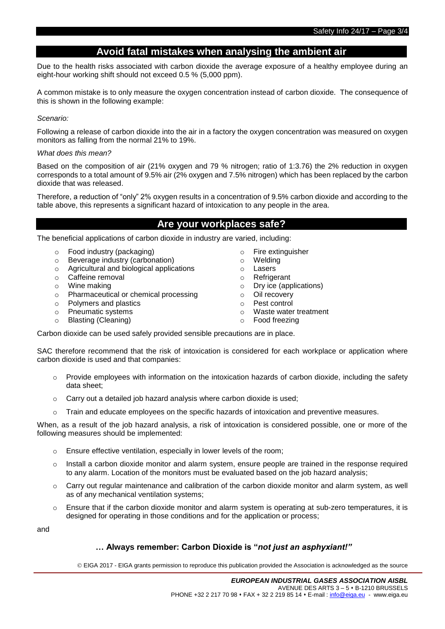# **Avoid fatal mistakes when analysing the ambient air**

Due to the health risks associated with carbon dioxide the average exposure of a healthy employee during an eight-hour working shift should not exceed 0.5 % (5,000 ppm).

A common mistake is to only measure the oxygen concentration instead of carbon dioxide. The consequence of this is shown in the following example:

#### *Scenario:*

Following a release of carbon dioxide into the air in a factory the oxygen concentration was measured on oxygen monitors as falling from the normal 21% to 19%.

#### *What does this mean?*

Based on the composition of air (21% oxygen and 79 % nitrogen; ratio of 1:3.76) the 2% reduction in oxygen corresponds to a total amount of 9.5% air (2% oxygen and 7.5% nitrogen) which has been replaced by the carbon dioxide that was released.

Therefore, a reduction of "only" 2% oxygen results in a concentration of 9.5% carbon dioxide and according to the table above, this represents a significant hazard of intoxication to any people in the area.

# **Are your workplaces safe?**

The beneficial applications of carbon dioxide in industry are varied, including:

- o Food industry (packaging) only the section of Fire extinguisher<br>
section of the Severage industry (carbonation) on the Severage industry (carbonation)
- $\circ$  Beverage industry (carbonation)  $\circ$
- o Agricultural and biological applications **o** Lasers o Cafeine removal **b c** Cafeine removal
- o **Caffeine removal**<br>
o Wine making o O
- 
- o Pharmaceutical or chemical processing only only on  $\circ$
- o Polymers and plastics o Pest control
- o Pneumatic systems o Waste water treatment
- o Blasting (Cleaning) o Food freezing
- 
- 
- 
- 
- 
- $\circ$  Dry ice (applications)<br> $\circ$  Oil recovery
- 
- 
- 

Carbon dioxide can be used safely provided sensible precautions are in place.

SAC therefore recommend that the risk of intoxication is considered for each workplace or application where carbon dioxide is used and that companies:

- $\circ$  Provide employees with information on the intoxication hazards of carbon dioxide, including the safety data sheet;
- o Carry out a detailed job hazard analysis where carbon dioxide is used;
- o Train and educate employees on the specific hazards of intoxication and preventive measures.

When, as a result of the job hazard analysis, a risk of intoxication is considered possible, one or more of the following measures should be implemented:

- o Ensure effective ventilation, especially in lower levels of the room;
- $\circ$  Install a carbon dioxide monitor and alarm system, ensure people are trained in the response required to any alarm. Location of the monitors must be evaluated based on the job hazard analysis;
- $\circ$  Carry out regular maintenance and calibration of the carbon dioxide monitor and alarm system, as well as of any mechanical ventilation systems;
- $\circ$  Ensure that if the carbon dioxide monitor and alarm system is operating at sub-zero temperatures, it is designed for operating in those conditions and for the application or process;

and

## **… Always remember: Carbon Dioxide is "***not just an asphyxiant!"*